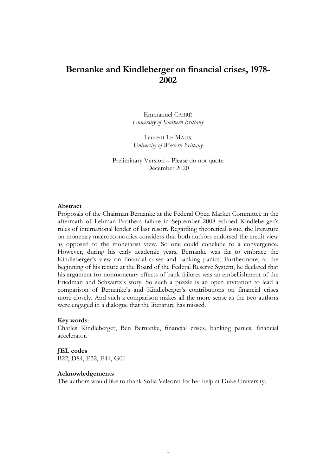# **Bernanke and Kindleberger on financial crises, 1978- 2002**

Emmanuel CARRÉ *University of Southern Brittany* 

Laurent LE MAUX *University of Western Brittany* 

Preliminary Version – Please do not quote December 2020

#### **Abstract**

Proposals of the Chairman Bernanke at the Federal Open Market Committee in the aftermath of Lehman Brothers failure in September 2008 echoed Kindleberger's rules of international lender of last resort. Regarding theoretical issue, the literature on monetary macroeconomics considers that both authors endorsed the credit view as opposed to the monetarist view. So one could conclude to a convergence. However, during his early academic years, Bernanke was far to embrace the Kindleberger's view on financial crises and banking panics. Furthermore, at the beginning of his tenure at the Board of the Federal Reserve System, he declared that his argument for nonmonetary effects of bank failures was an embellishment of the Friedman and Schwartz's story. So such a puzzle is an open invitation to lead a comparison of Bernanke's and Kindleberger's contributions on financial crises more closely. And such a comparison makes all the more sense as the two authors were engaged in a dialogue that the literature has missed.

#### **Key words**:

Charles Kindleberger, Ben Bernanke, financial crises, banking panics, financial accelerator.

**JEL codes** B22, D84, E32, E44, G01

#### **Acknowledgements**

The authors would like to thank Sofia Valeonti for her help at Duke University.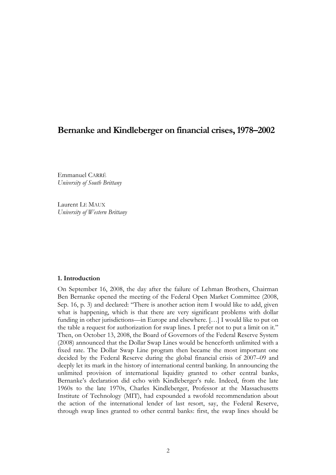# **Bernanke and Kindleberger on financial crises, 1978–2002**

Emmanuel CARRÉ *University of South Brittany*

Laurent LE MAUX *University of Western Brittany* 

# **1. Introduction**

On September 16, 2008, the day after the failure of Lehman Brothers, Chairman Ben Bernanke opened the meeting of the Federal Open Market Committee (2008, Sep. 16, p. 3) and declared: "There is another action item I would like to add, given what is happening, which is that there are very significant problems with dollar funding in other jurisdictions—in Europe and elsewhere. […] I would like to put on the table a request for authorization for swap lines. I prefer not to put a limit on it." Then, on October 13, 2008, the Board of Governors of the Federal Reserve System (2008) announced that the Dollar Swap Lines would be henceforth unlimited with a fixed rate. The Dollar Swap Line program then became the most important one decided by the Federal Reserve during the global financial crisis of 2007–09 and deeply let its mark in the history of international central banking. In announcing the unlimited provision of international liquidity granted to other central banks, Bernanke's declaration did echo with Kindleberger's rule. Indeed, from the late 1960s to the late 1970s, Charles Kindleberger, Professor at the Massachusetts Institute of Technology (MIT), had expounded a twofold recommendation about the action of the international lender of last resort, say, the Federal Reserve, through swap lines granted to other central banks: first, the swap lines should be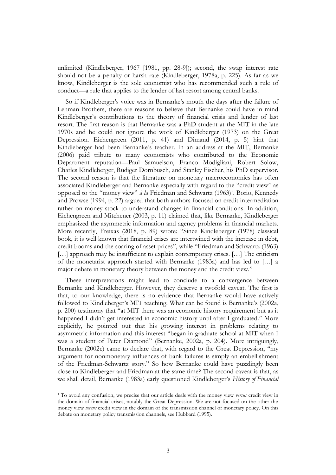unlimited (Kindleberger, 1967 [1981, pp. 28-9]); second, the swap interest rate should not be a penalty or harsh rate (Kindleberger, 1978a, p. 225). As far as we know, Kindleberger is the sole economist who has recommended such a rule of conduct—a rule that applies to the lender of last resort among central banks.

So if Kindleberger's voice was in Bernanke's mouth the days after the failure of Lehman Brothers, there are reasons to believe that Bernanke could have in mind Kindleberger's contributions to the theory of financial crisis and lender of last resort. The first reason is that Bernanke was a PhD student at the MIT in the late 1970s and he could not ignore the work of Kindleberger (1973) on the Great Depression. Eichengreen (2011, p. 41) and Dimand (2014, p. 5) hint that Kindleberger had been Bernanke's teacher. In an address at the MIT, Bernanke (2006) paid tribute to many economists who contributed to the Economic Department reputation—Paul Samuelson, Franco Modigliani, Robert Solow, Charles Kindleberger, Rudiger Dornbusch, and Stanley Fischer, his PhD supervisor. The second reason is that the literature on monetary macroeconomics has often associated Kindleberger and Bernanke especially with regard to the "credit view" as opposed to the "money view" *à la* Friedman and Schwartz (1963)<sup>1</sup>. Borio, Kennedy and Prowse (1994, p. 22) argued that both authors focused on credit intermediation rather on money stock to understand changes in financial conditions. In addition, Eichengreen and Mitchener (2003, p. 11) claimed that, like Bernanke, Kindleberger emphasized the asymmetric information and agency problems in financial markets. More recently, Freixas (2018, p. 89) wrote: "Since Kindleberger (1978) classical book, it is well known that financial crises are intertwined with the increase in debt, credit booms and the soaring of asset prices", while "Friedman and Schwartz (1963) […] approach may be insufficient to explain contemporary crises. […] The criticism of the monetarist approach started with Bernanke (1983a) and has led to […] a major debate in monetary theory between the money and the credit view."

These interpretations might lead to conclude to a convergence between Bernanke and Kindleberger. However, they deserve a twofold caveat. The first is that, to our knowledge, there is no evidence that Bernanke would have actively followed to Kindleberger's MIT teaching. What can be found is Bernanke's (2002a, p. 200) testimony that "at MIT there was an economic history requirement but as it happened I didn't get interested in economic history until after I graduated." More explicitly, he pointed out that his growing interest in problems relating to asymmetric information and this interest "began in graduate school at MIT when I was a student of Peter Diamond" (Bernanke, 2002a, p. 204). More intriguingly, Bernanke (2002c) came to declare that, with regard to the Great Depression, "my argument for nonmonetary influences of bank failures is simply an embellishment of the Friedman-Schwartz story." So how Bernanke could have puzzlingly been close to Kindleberger and Friedman at the same time? The second caveat is that, as we shall detail, Bernanke (1983a) early questioned Kindleberger's *History of Financial* 

<sup>1</sup> To avoid any confusion, we precise that our article deals with the money view *versus* credit view in the domain of financial crises, notably the Great Depression. We are not focused on the other the money view *versus* credit view in the domain of the transmission channel of monetary policy. On this debate on monetary policy transmission channels, see Hubbard (1995).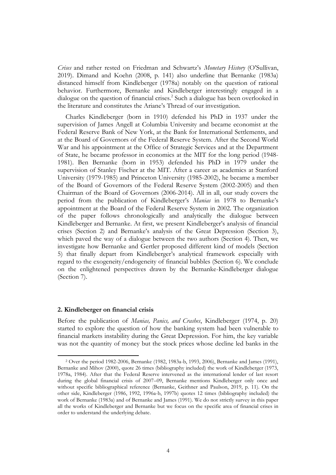*Crises* and rather rested on Friedman and Schwartz's *Monetary History* (O'Sullivan, 2019). Dimand and Koehn (2008, p. 141) also underline that Bernanke (1983a) distanced himself from Kindleberger (1978a) notably on the question of rational behavior. Furthermore, Bernanke and Kindleberger interestingly engaged in a dialogue on the question of financial crises. 2 Such a dialogue has been overlooked in the literature and constitutes the Ariane's Thread of our investigation.

Charles Kindleberger (born in 1910) defended his PhD in 1937 under the supervision of James Angell at Columbia University and became economist at the Federal Reserve Bank of New York, at the Bank for International Settlements, and at the Board of Governors of the Federal Reserve System. After the Second World War and his appointment at the Office of Strategic Services and at the Department of State, he became professor in economics at the MIT for the long period (1948- 1981). Ben Bernanke (born in 1953) defended his PhD in 1979 under the supervision of Stanley Fischer at the MIT. After a career as academics at Stanford University (1979-1985) and Princeton University (1985-2002), he became a member of the Board of Governors of the Federal Reserve System (2002-2005) and then Chairman of the Board of Governors (2006-2014). All in all, our study covers the period from the publication of Kindleberger's *Manias* in 1978 to Bernanke's appointment at the Board of the Federal Reserve System in 2002. The organization of the paper follows chronologically and analytically the dialogue between Kindleberger and Bernanke. At first, we present Kindleberger's analysis of financial crises (Section 2) and Bernanke's analysis of the Great Depression (Section 3), which paved the way of a dialogue between the two authors (Section 4). Then, we investigate how Bernanke and Gertler proposed different kind of models (Section 5) that finally depart from Kindleberger's analytical framework especially with regard to the exogeneity/endogeneity of financial bubbles (Section 6). We conclude on the enlightened perspectives drawn by the Bernanke-Kindleberger dialogue (Section 7).

#### **2. Kindleberger on financial crisis**

 $\overline{a}$ 

Before the publication of *Manias, Panics, and Crashes*, Kindleberger (1974, p. 20) started to explore the question of how the banking system had been vulnerable to financial markets instability during the Great Depression. For him, the key variable was not the quantity of money but the stock prices whose decline led banks in the

<sup>2</sup> Over the period 1982-2006, Bernanke (1982, 1983a-b, 1993, 2006), Bernanke and James (1991), Bernanke and Mihov (2000), quote 26 times (bibliography included) the work of Kindleberger (1973, 1978a, 1984). After that the Federal Reserve intervened as the international lender of last resort during the global financial crisis of 2007–09, Bernanke mentions Kindleberger only once and without specific bibliographical reference (Bernanke, Geithner and Paulson, 2019, p. 11). On the other side, Kindleberger (1986, 1992, 1996a-b, 1997b) quotes 12 times (bibliography included) the work of Bernanke (1983a) and of Bernanke and James (1991). We do not strictly survey in this paper all the works of Kindleberger and Bernanke but we focus on the specific area of financial crises in order to understand the underlying debate.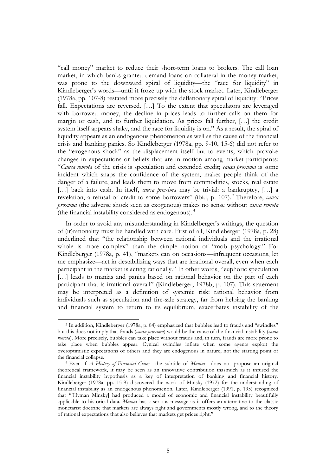"call money" market to reduce their short-term loans to brokers. The call loan market, in which banks granted demand loans on collateral in the money market, was prone to the downward spiral of liquidity—the "race for liquidity" in Kindleberger's words—until it froze up with the stock market. Later, Kindleberger (1978a, pp. 107-8) restated more precisely the deflationary spiral of liquidity: "Prices fall. Expectations are reversed. […] To the extent that speculators are leveraged with borrowed money, the decline in prices leads to further calls on them for margin or cash, and to further liquidation. As prices fall further, […] the credit system itself appears shaky, and the race for liquidity is on." As a result, the spiral of liquidity appears as an endogenous phenomenon as well as the cause of the financial crisis and banking panics. So Kindleberger (1978a, pp. 9-10, 15-6) did not refer to the "exogenous shock" as the displacement itself but to events, which provoke changes in expectations or beliefs that are in motion among market participants: "*Causa remota* of the crisis is speculation and extended credit; *causa proxima* is some incident which snaps the confidence of the system, makes people think of the danger of a failure, and leads them to move from commodities, stocks, real estate […] back into cash. In itself, *causa proxima* may be trivial: a bankruptcy, […] a revelation, a refusal of credit to some borrowers" (ibid, p. 107). <sup>3</sup> Therefore, *causa proxima* (the adverse shock seen as exogenous) makes no sense without *causa remota* (the financial instability considered as endogenous). <sup>4</sup>

In order to avoid any misunderstanding in Kindelberger's writings, the question of (ir)rationality must be handled with care. First of all, Kindleberger (1978a, p. 28) underlined that "the relationship between rational individuals and the irrational whole is more complex" than the simple notion of "mob psychology." For Kindleberger (1978a, p. 41), "markets can on occasions—infrequent occasions, let me emphasize—act in destabilizing ways that are irrational overall, even when each participant in the market is acting rationally." In other words, "euphoric speculation [...] leads to manias and panics based on rational behavior on the part of each participant that is irrational overall" (Kindleberger, 1978b, p. 107). This statement may be interpreted as a definition of systemic risk: rational behavior from individuals such as speculation and fire-sale strategy, far from helping the banking and financial system to return to its equilibrium, exacerbates instability of the

<sup>3</sup> In addition, Kindleberger (1978a, p. 84) emphasized that bubbles lead to frauds and "swindles" but this does not imply that frauds (*causa proxima*) would be the cause of the financial instability (*causa remota*). More precisely, bubbles can take place without frauds and, in turn, frauds are more prone to take place when bubbles appear. Cynical swindles inflate when some agents exploit the overoptimistic expectations of others and they are endogenous in nature, not the starting point of the financial collapse.

<sup>4</sup> Even if *A History of Financial Crises*—the subtitle of *Manias*—does not propose an original theoretical framework, it may be seen as an innovative contribution inasmuch as it infused the financial instability hypothesis as a key of interpretation of banking and financial history. Kindleberger (1978a, pp. 15-9) discovered the work of Minsky (1972) for the understanding of financial instability as an endogenous phenomenon. Later, Kindleberger (1991, p. 195) recognized that "[Hyman Minsky] had produced a model of economic and financial instability beautifully applicable to historical data. *Manias* has a serious message as it offers an alternative to the classic monetarist doctrine that markets are always right and governments mostly wrong, and to the theory of rational expectations that also believes that markets get prices right."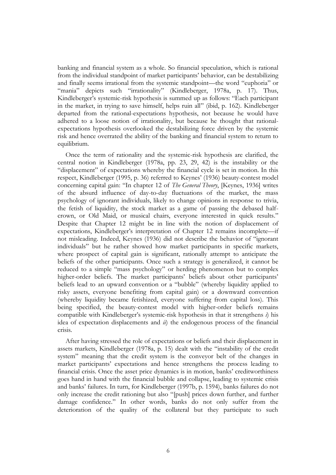banking and financial system as a whole. So financial speculation, which is rational from the individual standpoint of market participants' behavior, can be destabilizing and finally seems irrational from the systemic standpoint—the word "euphoria" or "mania" depicts such "irrationality" (Kindleberger, 1978a, p. 17). Thus, Kindleberger's systemic-risk hypothesis is summed up as follows: "Each participant in the market, in trying to save himself, helps ruin all" (ibid, p. 162). Kindleberger departed from the rational-expectations hypothesis, not because he would have adhered to a loose notion of irrationality, but because he thought that rationalexpectations hypothesis overlooked the destabilizing force driven by the systemic risk and hence overrated the ability of the banking and financial system to return to equilibrium.

Once the term of rationality and the systemic-risk hypothesis are clarified, the central notion in Kindleberger (1978a, pp. 23, 29, 42) is the instability or the "displacement" of expectations whereby the financial cycle is set in motion. In this respect, Kindleberger (1995, p. 36) referred to Keynes' (1936) beauty-contest model concerning capital gain: "In chapter 12 of *The General Theory*, [Keynes, 1936] writes of the absurd influence of day-to-day fluctuations of the market, the mass psychology of ignorant individuals, likely to change opinions in response to trivia, the fetish of liquidity, the stock market as a game of passing the debased halfcrown, or Old Maid, or musical chairs, everyone interested in quick results." Despite that Chapter 12 might be in line with the notion of displacement of expectations, Kindleberger's interpretation of Chapter 12 remains incomplete—if not misleading. Indeed, Keynes (1936) did not describe the behavior of "ignorant individuals" but he rather showed how market participants in specific markets, where prospect of capital gain is significant, rationally attempt to anticipate the beliefs of the other participants. Once such a strategy is generalized, it cannot be reduced to a simple "mass psychology" or herding phenomenon but to complex higher-order beliefs. The market participants' beliefs about other participants' beliefs lead to an upward convention or a "bubble" (whereby liquidity applied to risky assets, everyone benefiting from capital gain) or a downward convention (whereby liquidity became fetishized, everyone suffering from capital loss). This being specified, the beauty-contest model with higher-order beliefs remains compatible with Kindleberger's systemic-risk hypothesis in that it strengthens *i*) his idea of expectation displacements and *ii*) the endogenous process of the financial crisis.

After having stressed the role of expectations or beliefs and their displacement in assets markets, Kindleberger (1978a, p. 15) dealt with the "instability of the credit system" meaning that the credit system is the conveyor belt of the changes in market participants' expectations and hence strengthens the process leading to financial crisis. Once the asset price dynamics is in motion, banks' creditworthiness goes hand in hand with the financial bubble and collapse, leading to systemic crisis and banks' failures. In turn, for Kindleberger (1997b, p. 1594), banks failures do not only increase the credit rationing but also "[push] prices down further, and further damage confidence." In other words, banks do not only suffer from the deterioration of the quality of the collateral but they participate to such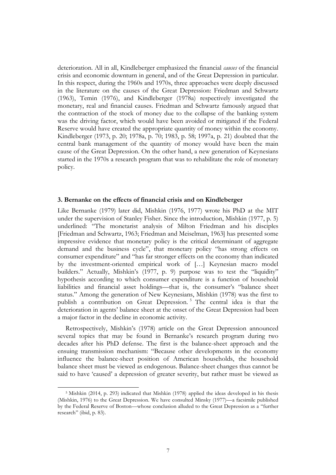deterioration. All in all, Kindleberger emphasized the financial *causes* of the financial crisis and economic downturn in general, and of the Great Depression in particular. In this respect, during the 1960s and 1970s, three approaches were deeply discussed in the literature on the causes of the Great Depression: Friedman and Schwartz (1963), Temin (1976), and Kindleberger (1978a) respectively investigated the monetary, real and financial causes. Friedman and Schwartz famously argued that the contraction of the stock of money due to the collapse of the banking system was the driving factor, which would have been avoided or mitigated if the Federal Reserve would have created the appropriate quantity of money within the economy. Kindleberger (1973, p. 20; 1978a, p. 70; 1983, p. 58; 1997a, p. 21) doubted that the central bank management of the quantity of money would have been the main cause of the Great Depression. On the other hand, a new generation of Keynesians started in the 1970s a research program that was to rehabilitate the role of monetary policy.

#### **3. Bernanke on the effects of financial crisis and on Kindleberger**

Like Bernanke (1979) later did, Mishkin (1976, 1977) wrote his PhD at the MIT under the supervision of Stanley Fisher. Since the introduction, Mishkin (1977, p. 5) underlined: "The monetarist analysis of Milton Friedman and his disciples [Friedman and Schwartz, 1963; Friedman and Meiselman, 1963] has presented some impressive evidence that monetary policy is the critical determinant of aggregate demand and the business cycle", that monetary policy "has strong effects on consumer expenditure" and "has far stronger effects on the economy than indicated by the investment-oriented empirical work of […] Keynesian macro model builders." Actually, Mishkin's (1977, p. 9) purpose was to test the "liquidity" hypothesis according to which consumer expenditure is a function of household liabilities and financial asset holdings—that is, the consumer's "balance sheet status." Among the generation of New Keynesians, Mishkin (1978) was the first to publish a contribution on Great Depression. <sup>5</sup> The central idea is that the deterioration in agents' balance sheet at the onset of the Great Depression had been a major factor in the decline in economic activity.

Retrospectively, Mishkin's (1978) article on the Great Depression announced several topics that may be found in Bernanke's research program during two decades after his PhD defense. The first is the balance-sheet approach and the ensuing transmission mechanism: "Because other developments in the economy influence the balance-sheet position of American households, the household balance sheet must be viewed as endogenous. Balance-sheet changes thus cannot be said to have 'caused' a depression of greater severity, but rather must be viewed as

<sup>5</sup> Mishkin (2014, p. 293) indicated that Mishkin (1978) applied the ideas developed in his thesis (Mishkin, 1976) to the Great Depression. We have consulted Minsky (1977)—a facsimile published by the Federal Reserve of Boston—whose conclusion alluded to the Great Depression as a "further research" (ibid, p. 83).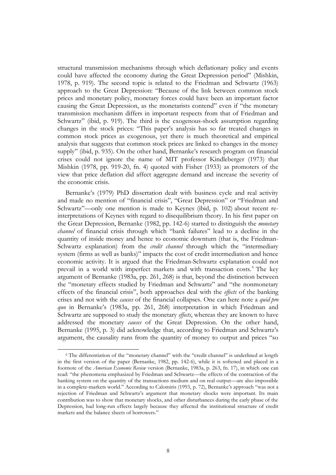structural transmission mechanisms through which deflationary policy and events could have affected the economy during the Great Depression period" (Mishkin, 1978, p. 919). The second topic is related to the Friedman and Schwartz (1963) approach to the Great Depression: "Because of the link between common stock prices and monetary policy, monetary forces could have been an important factor causing the Great Depression, as the monetarists contend" even if "the monetary transmission mechanism differs in important respects from that of Friedman and Schwartz" (ibid, p. 919). The third is the exogenous-shock assumption regarding changes in the stock prices: "This paper's analysis has so far treated changes in common stock prices as exogenous, yet there is much theoretical and empirical analysis that suggests that common stock prices are linked to changes in the money supply" (ibid, p. 935). On the other hand, Bernanke's research program on financial crises could not ignore the name of MIT professor Kindleberger (1973) that Mishkin (1978, pp. 919-20, fn. 4) quoted with Fisher (1933) as promoters of the view that price deflation did affect aggregate demand and increase the severity of the economic crisis.

Bernanke's (1979) PhD dissertation dealt with business cycle and real activity and made no mention of "financial crisis", "Great Depression" or "Friedman and Schwartz"—only one mention is made to Keynes (ibid, p. 102) about recent reinterpretations of Keynes with regard to disequilibrium theory. In his first paper on the Great Depression, Bernanke (1982, pp. 142-6) started to distinguish the *monetary channel* of financial crisis through which "bank failures" lead to a decline in the quantity of inside money and hence to economic downturn (that is, the Friedman-Schwartz explanation) from the *credit channel* through which the "intermediary system (firms as well as banks)" impacts the cost of credit intermediation and hence economic activity. It is argued that the Friedman-Schwartz explanation could not prevail in a world with imperfect markets and with transaction costs. <sup>6</sup> The key argument of Bernanke (1983a, pp. 261, 268) is that, beyond the distinction between the "monetary effects studied by Friedman and Schwartz" and "the nonmonetary effects of the financial crisis", both approaches deal with the *effects* of the banking crises and not with the *causes* of the financial collapses. One can here note a *quid pro quo* in Bernanke's (1983a, pp. 261, 268) interpretation in which Friedman and Schwartz are supposed to study the monetary *effects*, whereas they are known to have addressed the monetary *causes* of the Great Depression. On the other hand, Bernanke (1995, p. 3) did acknowledge that, according to Friedman and Schwartz's argument, the causality runs from the quantity of money to output and prices "so

<sup>&</sup>lt;sup>6</sup> The differentiation of the "monetary channel" with the "credit channel" is underlined at length in the first version of the paper (Bernanke, 1982, pp. 142-6), while it is softened and placed in a footnote of the *American Economic Review* version (Bernanke, 1983a, p. 263, fn. 17), in which one can read: "the phenomena emphasized by Friedman and Schwartz—the effects of the contraction of the banking system on the quantity of the transactions medium and on real output—are also impossible in a complete-markets world." According to Calomiris (1993, p. 72), Bernanke's approach "was not a rejection of Friedman and Schwartz's argument that monetary shocks were important. Its main contribution was to show that monetary shocks, and other disturbances during the early phase of the Depression, had long-run effects largely because they affected the institutional structure of credit markets and the balance sheets of borrowers."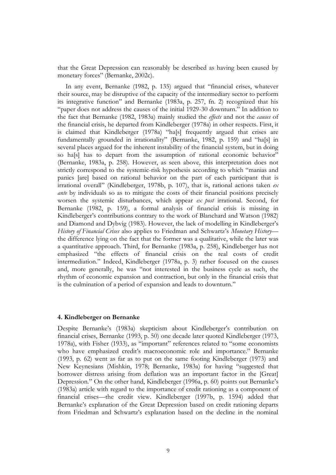that the Great Depression can reasonably be described as having been caused by monetary forces" (Bernanke, 2002c).

In any event, Bernanke (1982, p. 135) argued that "financial crises, whatever their source, may be disruptive of the capacity of the intermediary sector to perform its integrative function" and Bernanke (1983a, p. 257, fn. 2) recognized that his "paper does not address the causes of the initial 1929-30 downturn." In addition to the fact that Bernanke (1982, 1983a) mainly studied the *effects* and not the *causes* of the financial crisis, he departed from Kindleberger (1978a) in other respects. First, it is claimed that Kindleberger (1978a) "ha[s] frequently argued that crises are fundamentally grounded in irrationality" (Bernanke, 1982, p. 159) and "ha[s] in several places argued for the inherent instability of the financial system, but in doing so ha[s] has to depart from the assumption of rational economic behavior" (Bernanke, 1983a, p. 258). However, as seen above, this interpretation does not strictly correspond to the systemic-risk hypothesis according to which "manias and panics [are] based on rational behavior on the part of each participant that is irrational overall" (Kindleberger, 1978b, p. 107), that is, rational actions taken *ex ante* by individuals so as to mitigate the costs of their financial positions precisely worsen the systemic disturbances, which appear *ex post* irrational. Second, for Bernanke (1982, p. 159), a formal analysis of financial crisis is missing in Kindleberger's contributions contrary to the work of Blanchard and Watson (1982) and Diamond and Dybvig (1983). However, the lack of modelling in Kindleberger's *History of Financial Crises* also applies to Friedman and Schwartz's *Monetary History* the difference lying on the fact that the former was a qualitative, while the later was a quantitative approach. Third, for Bernanke (1983a, p. 258), Kindleberger has not emphasized "the effects of financial crisis on the real costs of credit intermediation." Indeed, Kindleberger (1978a, p. 3) rather focused on the causes and, more generally, he was "not interested in the business cycle as such, the rhythm of economic expansion and contraction, but only in the financial crisis that is the culmination of a period of expansion and leads to downturn."

#### **4. Kindleberger on Bernanke**

Despite Bernanke's (1983a) skepticism about Kindleberger's contribution on financial crises, Bernanke (1993, p. 50) one decade later quoted Kindleberger (1973, 1978a), with Fisher (1933), as "important" references related to "some economists who have emphasized credit's macroeconomic role and importance." Bernanke (1993, p. 62) went as far as to put on the same footing Kindleberger (1973) and New Keynesians (Mishkin, 1978; Bernanke, 1983a) for having "suggested that borrower distress arising from deflation was an important factor in the [Great] Depression." On the other hand, Kindleberger (1996a, p. 60) points out Bernanke's (1983a) article with regard to the importance of credit rationing as a component of financial crises—the credit view. Kindleberger (1997b, p. 1594) added that Bernanke's explanation of the Great Depression based on credit rationing departs from Friedman and Schwartz's explanation based on the decline in the nominal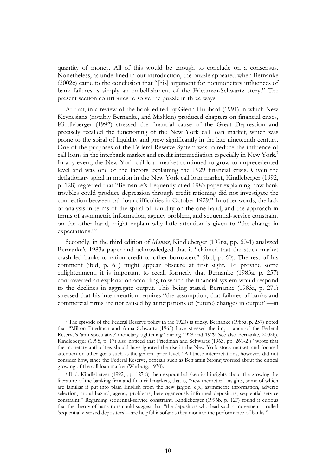quantity of money. All of this would be enough to conclude on a consensus. Nonetheless, as underlined in our introduction, the puzzle appeared when Bernanke (2002c) came to the conclusion that "[his] argument for nonmonetary influences of bank failures is simply an embellishment of the Friedman-Schwartz story." The present section contributes to solve the puzzle in three ways.

At first, in a review of the book edited by Glenn Hubbard (1991) in which New Keynesians (notably Bernanke, and Mishkin) produced chapters on financial crises, Kindleberger (1992) stressed the financial cause of the Great Depression and precisely recalled the functioning of the New York call loan market, which was prone to the spiral of liquidity and grew significantly in the late nineteenth century. One of the purposes of the Federal Reserve System was to reduce the influence of call loans in the interbank market and credit intermediation especially in New York.<sup>7</sup> In any event, the New York call loan market continued to grow to unprecedented level and was one of the factors explaining the 1929 financial crisis. Given the deflationary spiral in motion in the New York call loan market, Kindleberger (1992, p. 128) regretted that "Bernanke's frequently-cited 1983 paper explaining how bank troubles could produce depression through credit rationing did not investigate the connection between call-loan difficulties in October 1929." In other words, the lack of analysis in terms of the spiral of liquidity on the one hand, and the approach in terms of asymmetric information, agency problem, and sequential-service constraint on the other hand, might explain why little attention is given to "the change in expectations." 8

Secondly, in the third edition of *Manias*, Kindleberger (1996a, pp. 60-1) analyzed Bernanke's 1983a paper and acknowledged that it "claimed that the stock market crash led banks to ration credit to other borrowers" (ibid, p. 60). The rest of his comment (ibid, p. 61) might appear obscure at first sight. To provide some enlightenment, it is important to recall formerly that Bernanke (1983a, p. 257) controverted an explanation according to which the financial system would respond to the declines in aggregate output. This being stated, Bernanke (1983a, p. 271) stressed that his interpretation requires "the assumption, that failures of banks and commercial firms are not caused by anticipations of (future) changes in output"—in

<sup>7</sup> The episode of the Federal Reserve policy in the 1920s is tricky. Bernanke (1983a, p. 257) noted that "Milton Friedman and Anna Schwartz (1963) have stressed the importance of the Federal Reserve's 'anti-speculative' monetary tightening" during 1928 and 1929 (see also Bernanke, 2002b). Kindleberger (1995, p. 17) also noticed that Friedman and Schwartz (1963, pp. 261-2]) "wrote that the monetary authorities should have ignored the rise in the New York stock market, and focused attention on other goals such as the general price level." All these interpretations, however, did not consider how, since the Federal Reserve, officials such as Benjamin Strong worried about the critical growing of the call loan market (Warburg, 1930).

<sup>8</sup> Ibid. Kindleberger (1992, pp. 127-8) then expounded skeptical insights about the growing the literature of the banking firm and financial markets, that is, "new theoretical insights, some of which are familiar if put into plain English from the new jargon, e.g., asymmetric information, adverse selection, moral hazard, agency problems, heterogeneously-informed depositors, sequential-service constraint." Regarding sequential-service constraint, Kindleberger (1996b, p. 127) found it curious that the theory of bank runs could suggest that "the depositors who lead such a movement—called 'sequentially-served depositors'—are helpful insofar as they monitor the performance of banks."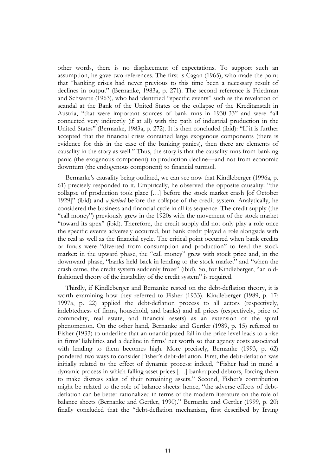other words, there is no displacement of expectations. To support such an assumption, he gave two references. The first is Cagan (1965), who made the point that "banking crises had never previous to this time been a necessary result of declines in output" (Bernanke, 1983a, p. 271). The second reference is Friedman and Schwartz (1963), who had identified "specific events" such as the revelation of scandal at the Bank of the United States or the collapse of the Kreditanstalt in Austria, "that were important sources of bank runs in 1930-33" and were "all connected very indirectly (if at all) with the path of industrial production in the United States" (Bernanke, 1983a, p. 272). It is then concluded (ibid): "If it is further accepted that the financial crisis contained large exogenous components (there is evidence for this in the case of the banking panics), then there are elements of causality in the story as well." Thus, the story is that the causality runs from banking panic (the exogenous component) to production decline—and not from economic downturn (the endogenous component) to financial turmoil.

Bernanke's causality being outlined, we can see now that Kindleberger (1996a, p. 61) precisely responded to it. Empirically, he observed the opposite causality: "the collapse of production took place […] before the stock market crash [of October 1929]" (ibid) and *a fortiori* before the collapse of the credit system. Analytically, he considered the business and financial cycle in all its sequence. The credit supply (the "call money") previously grew in the 1920s with the movement of the stock market "toward its apex" (ibid). Therefore, the credit supply did not only play a role once the specific events adversely occurred, but bank credit played a role alongside with the real as well as the financial cycle. The critical point occurred when bank credits or funds were "diverted from consumption and production" to feed the stock market: in the upward phase, the "call money" grew with stock price and, in the downward phase, "banks held back in lending to the stock market" and "when the crash came, the credit system suddenly froze" (ibid). So, for Kindleberger, "an oldfashioned theory of the instability of the credit system" is required.

Thirdly, if Kindleberger and Bernanke rested on the debt-deflation theory, it is worth examining how they referred to Fisher (1933). Kindleberger (1989, p. 17; 1997a, p. 22) applied the debt-deflation process to all actors (respectively, indebtedness of firms, household, and banks) and all prices (respectively, price of commodity, real estate, and financial assets) as an extension of the spiral phenomenon. On the other hand, Bernanke and Gertler (1989, p. 15) referred to Fisher (1933) to underline that an unanticipated fall in the price level leads to a rise in firms' liabilities and a decline in firms' net worth so that agency costs associated with lending to them becomes high. More precisely, Bernanke (1993, p. 62) pondered two ways to consider Fisher's debt-deflation. First, the debt-deflation was initially related to the effect of dynamic process: indeed, "Fisher had in mind a dynamic process in which falling asset prices […] bankrupted debtors, forcing them to make distress sales of their remaining assets." Second, Fisher's contribution might be related to the role of balance sheets: hence, "the adverse effects of debtdeflation can be better rationalized in terms of the modern literature on the role of balance sheets (Bernanke and Gertler, 1990)." Bernanke and Gertler (1999, p. 20) finally concluded that the "debt-deflation mechanism, first described by Irving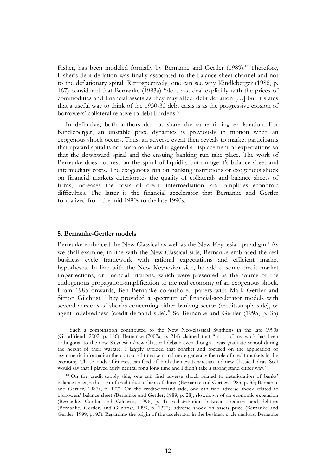Fisher, has been modeled formally by Bernanke and Gertler (1989)." Therefore, Fisher's debt-deflation was finally associated to the balance-sheet channel and not to the deflationary spiral. Retrospectively, one can see why Kindleberger (1986, p. 167) considered that Bernanke (1983a) "does not deal explicitly with the prices of commodities and financial assets as they may affect debt deflation […] but it states that a useful way to think of the 1930-33 debt crisis is as the progressive erosion of borrowers' collateral relative to debt burdens."

In definitive, both authors do not share the same timing explanation. For Kindleberger, an unstable price dynamics is previously in motion when an exogenous shock occurs. Thus, an adverse event then reveals to market participants that upward spiral is not sustainable and triggered a displacement of expectations so that the downward spiral and the ensuing banking run take place. The work of Bernanke does not rest on the spiral of liquidity but on agent's balance sheet and intermediary costs. The exogenous run on banking institutions or exogenous shock on financial markets deteriorates the quality of collaterals and balance sheets of firms, increases the costs of credit intermediation, and amplifies economic difficulties. The latter is the financial accelerator that Bernanke and Gertler formalized from the mid 1980s to the late 1990s.

#### **5. Bernanke-Gertler models**

 $\overline{\phantom{a}}$ 

Bernanke embraced the New Classical as well as the New Keynesian paradigm.<sup>9</sup> As we shall examine, in line with the New Classical side, Bernanke embraced the real business cycle framework with rational expectations and efficient market hypotheses. In line with the New Keynesian side, he added some credit market imperfections, or financial frictions, which were presented as the source of the endogenous propagation-amplification to the real economy of an exogenous shock. From 1985 onwards, Ben Bernanke co-authored papers with Mark Gertler and Simon Gilchrist. They provided a spectrum of financial-accelerator models with several versions of shocks concerning either banking sector (credit-supply side), or agent indebtedness (credit-demand side). <sup>10</sup> So Bernanke and Gertler (1995, p. 35)

<sup>9</sup> Such a combination contributed to the New Neo-classical Synthesis in the late 1990s (Goodfriend, 2002, p. 186). Bernanke (2002a, p. 214) claimed that "most of my work has been orthogonal to the new Keynesian/new Classical debate even though I was graduate school during the height of their warfare. I largely avoided that conflict and focused on the application of asymmetric information theory to credit markets and more generally the role of credit markets in the economy. Those kinds of interest can feed off both the new Keynesian and new Classical ideas. So I would say that I played fairly neutral for a long time and I didn't take a strong stand either way."

<sup>10</sup> On the credit-supply side, one can find adverse shock related to deterioration of banks' balance sheet, reduction of credit due to banks failures (Bernanke and Gertler, 1985, p. 33; Bernanke and Gertler, 1987a, p. 107). On the credit-demand side, one can find adverse shock related to borrowers' balance sheet (Bernanke and Gertler, 1989, p. 28), slowdown of an economic expansion (Bernanke, Gertler and Gilchrist, 1996, p. 1), redistribution between creditors and debtors (Bernanke, Gertler, and Gilchrist, 1999, p. 1372), adverse shock on assets price (Bernanke and Gertler, 1999, p. 93). Regarding the origin of the accelerator in the business cycle analysis, Bernanke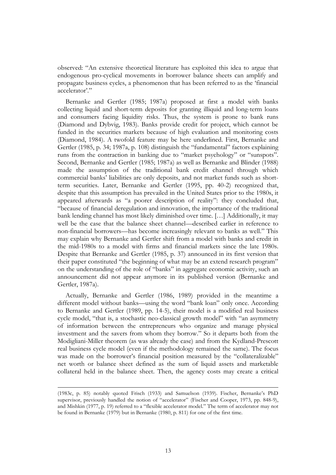observed: "An extensive theoretical literature has exploited this idea to argue that endogenous pro-cyclical movements in borrower balance sheets can amplify and propagate business cycles, a phenomenon that has been referred to as the 'financial accelerator'."

Bernanke and Gertler (1985; 1987a) proposed at first a model with banks collecting liquid and short-term deposits for granting illiquid and long-term loans and consumers facing liquidity risks. Thus, the system is prone to bank runs (Diamond and Dybvig, 1983). Banks provide credit for project, which cannot be funded in the securities markets because of high evaluation and monitoring costs (Diamond, 1984). A twofold feature may be here underlined. First, Bernanke and Gertler (1985, p. 34; 1987a, p. 108) distinguish the "fundamental" factors explaining runs from the contraction in banking due to "market psychology" or "sunspots". Second, Bernanke and Gertler (1985; 1987a) as well as Bernanke and Blinder (1988) made the assumption of the traditional bank credit channel through which commercial banks' liabilities are only deposits, and not market funds such as shortterm securities. Later, Bernanke and Gertler (1995, pp. 40-2) recognized that, despite that this assumption has prevailed in the United States prior to the 1980s, it appeared afterwards as "a poorer description of reality": they concluded that, "because of financial deregulation and innovation, the importance of the traditional bank lending channel has most likely diminished over time. […] Additionally, it may well be the case that the balance sheet channel—described earlier in reference to non-financial borrowers—has become increasingly relevant to banks as well." This may explain why Bernanke and Gertler shift from a model with banks and credit in the mid-1980s to a model with firms and financial markets since the late 1980s. Despite that Bernanke and Gertler (1985, p. 37) announced in its first version that their paper constituted "the beginning of what may be an extend research program" on the understanding of the role of "banks" in aggregate economic activity, such an announcement did not appear anymore in its published version (Bernanke and Gertler, 1987a).

Actually, Bernanke and Gertler (1986, 1989) provided in the meantime a different model without banks—using the word "bank loan" only once. According to Bernanke and Gertler (1989, pp. 14-5), their model is a modified real business cycle model, "that is, a stochastic neo-classical growth model" with "an asymmetry of information between the entrepreneurs who organize and manage physical investment and the savers from whom they borrow." So it departs both from the Modigliani-Miller theorem (as was already the case) and from the Kydland-Prescott real business cycle model (even if the methodology remained the same). The focus was made on the borrower's financial position measured by the "collateralizable" net worth or balance sheet defined as the sum of liquid assets and marketable collateral held in the balance sheet. Then, the agency costs may create a critical

<sup>(1983</sup>c, p. 85) notably quoted Frisch (1933) and Samuelson (1939). Fischer, Bernanke's PhD supervisor, previously handled the notion of "accelerator" (Fischer and Cooper, 1973, pp. 848-9), and Mishkin (1977, p. 19) referred to a "flexible accelerator model." The term of accelerator may not be found in Bernanke (1979) but in Bernanke (1980, p. 811) for one of the first time.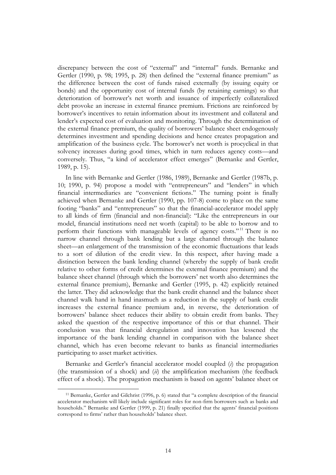discrepancy between the cost of "external" and "internal" funds. Bernanke and Gertler (1990, p. 98; 1995, p. 28) then defined the "external finance premium" as the difference between the cost of funds raised externally (by issuing equity or bonds) and the opportunity cost of internal funds (by retaining earnings) so that deterioration of borrower's net worth and issuance of imperfectly collateralized debt provoke an increase in external finance premium. Frictions are reinforced by borrower's incentives to retain information about its investment and collateral and lender's expected cost of evaluation and monitoring. Through the determination of the external finance premium, the quality of borrowers' balance sheet endogenously determines investment and spending decisions and hence creates propagation and amplification of the business cycle. The borrower's net worth is procyclical in that solvency increases during good times, which in turn reduces agency costs—and conversely. Thus, "a kind of accelerator effect emerges" (Bernanke and Gertler, 1989, p. 15).

In line with Bernanke and Gertler (1986, 1989), Bernanke and Gertler (1987b, p. 10; 1990, p. 94) propose a model with "entrepreneurs" and "lenders" in which financial intermediaries are "convenient fictions." The turning point is finally achieved when Bernanke and Gertler (1990, pp. 107-8) come to place on the same footing "banks" and "entrepreneurs" so that the financial-accelerator model apply to all kinds of firm (financial and non-financial): "Like the entrepreneurs in our model, financial institutions need net worth (capital) to be able to borrow and to perform their functions with manageable levels of agency costs."<sup>11</sup> There is no narrow channel through bank lending but a large channel through the balance sheet—an enlargement of the transmission of the economic fluctuations that leads to a sort of dilution of the credit view. In this respect, after having made a distinction between the bank lending channel (whereby the supply of bank credit relative to other forms of credit determines the external finance premium) and the balance sheet channel (through which the borrowers' net worth also determines the external finance premium), Bernanke and Gertler (1995, p. 42) explicitly retained the latter. They did acknowledge that the bank credit channel and the balance sheet channel walk hand in hand inasmuch as a reduction in the supply of bank credit increases the external finance premium and, in reverse, the deterioration of borrowers' balance sheet reduces their ability to obtain credit from banks. They asked the question of the respective importance of this or that channel. Their conclusion was that financial deregulation and innovation has lessened the importance of the bank lending channel in comparison with the balance sheet channel, which has even become relevant to banks as financial intermediaries participating to asset market activities.

Bernanke and Gertler's financial accelerator model coupled (*i*) the propagation (the transmission of a shock) and (*ii*) the amplification mechanism (the feedback effect of a shock). The propagation mechanism is based on agents' balance sheet or

<sup>11</sup> Bernanke, Gertler and Gilchrist (1996, p. 6) stated that "a complete description of the financial accelerator mechanism will likely include significant roles for non-firm borrowers such as banks and households." Bernanke and Gertler (1999, p. 21) finally specified that the agents' financial positions correspond to firms' rather than households' balance sheet.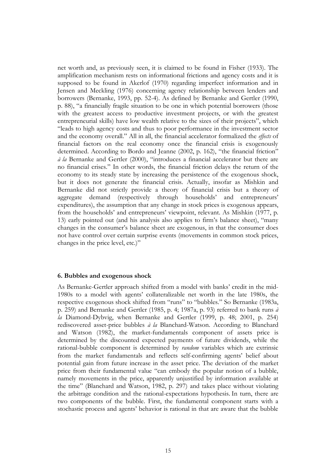net worth and, as previously seen, it is claimed to be found in Fisher (1933). The amplification mechanism rests on informational frictions and agency costs and it is supposed to be found in Akerlof (1970) regarding imperfect information and in Jensen and Meckling (1976) concerning agency relationship between lenders and borrowers (Bernanke, 1993, pp. 52-4). As defined by Bernanke and Gertler (1990, p. 88), "a financially fragile situation to be one in which potential borrowers (those with the greatest access to productive investment projects, or with the greatest entrepreneurial skills) have low wealth relative to the sizes of their projects", which "leads to high agency costs and thus to poor performance in the investment sector and the economy overall." All in all, the financial accelerator formalized the *effects* of financial factors on the real economy once the financial crisis is exogenously determined. According to Bordo and Jeanne (2002, p. 162), "the financial friction" *à la* Bernanke and Gertler (2000), "introduces a financial accelerator but there are no financial crises." In other words, the financial friction delays the return of the economy to its steady state by increasing the persistence of the exogenous shock, but it does not generate the financial crisis. Actually, insofar as Mishkin and Bernanke did not strictly provide a theory of financial crisis but a theory of aggregate demand (respectively through households' and entrepreneurs' expenditures), the assumption that any change in stock prices is exogenous appears, from the households' and entrepreneurs' viewpoint, relevant. As Mishkin (1977, p. 13) early pointed out (and his analysis also applies to firm's balance sheet), "many changes in the consumer's balance sheet are exogenous, in that the consumer does not have control over certain surprise events (movements in common stock prices, changes in the price level, etc.)"

#### **6. Bubbles and exogenous shock**

As Bernanke-Gertler approach shifted from a model with banks' credit in the mid-1980s to a model with agents' collateralizable net worth in the late 1980s, the respective exogenous shock shifted from "runs" to "bubbles." So Bernanke (1983a, p. 259) and Bernanke and Gertler (1985, p. 4; 1987a, p. 93) referred to bank runs *à la* Diamond-Dybvig, when Bernanke and Gertler (1999, p. 48; 2001, p. 254) rediscovered asset-price bubbles *à la* Blanchard-Watson. According to Blanchard and Watson (1982), the market-fundamentals component of assets price is determined by the discounted expected payments of future dividends, while the rational-bubble component is determined by *random* variables which are extrinsic from the market fundamentals and reflects self-confirming agents' belief about potential gain from future increase in the asset price. The deviation of the market price from their fundamental value "can embody the popular notion of a bubble, namely movements in the price, apparently unjustified by information available at the time" (Blanchard and Watson, 1982, p. 297) and takes place without violating the arbitrage condition and the rational-expectations hypothesis. In turn, there are two components of the bubble. First, the fundamental component starts with a stochastic process and agents' behavior is rational in that are aware that the bubble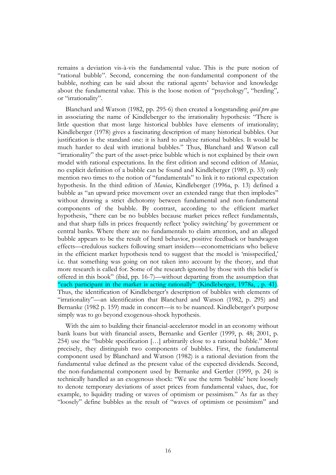remains a deviation vis-à-vis the fundamental value. This is the pure notion of "rational bubble". Second, concerning the non-fundamental component of the bubble, nothing can be said about the rational agents' behavior and knowledge about the fundamental value. This is the loose notion of "psychology", "herding", or "irrationality".

Blanchard and Watson (1982, pp. 295-6) then created a longstanding *quid pro quo* in associating the name of Kindleberger to the irrationality hypothesis: "There is little question that most large historical bubbles have elements of irrationality; Kindleberger (1978) gives a fascinating description of many historical bubbles. Our justification is the standard one: it is hard to analyze rational bubbles. It would be much harder to deal with irrational bubbles." Thus, Blanchard and Watson call "irrationality" the part of the asset-price bubble which is not explained by their own model with rational expectations. In the first edition and second edition of *Manias*, no explicit definition of a bubble can be found and Kindleberger (1989, p. 33) only mention two times to the notion of "fundamentals" to link it to rational expectation hypothesis. In the third edition of *Manias*, Kindleberger (1996a, p. 13) defined a bubble as "an upward price movement over an extended range that then implodes" without drawing a strict dichotomy between fundamental and non-fundamental components of the bubble. By contrast, according to the efficient market hypothesis, "there can be no bubbles because market prices reflect fundamentals, and that sharp falls in prices frequently reflect 'policy switching' by government or central banks. Where there are no fundamentals to claim attention, and an alleged bubble appears to be the result of herd behavior, positive feedback or bandwagon effects—credulous suckers following smart insiders—econometricians who believe in the efficient market hypothesis tend to suggest that the model is 'misspecified,' i.e. that something was going on not taken into account by the theory, and that more research is called for. Some of the research ignored by those with this belief is offered in this book" (ibid, pp. 16-7)—without departing from the assumption that "each participant in the market is acting rationally" (Kindleberger, 1978a, , p. 41). Thus, the identification of Kindleberger's description of bubbles with elements of "irrationality"—an identification that Blanchard and Watson (1982, p. 295) and Bernanke (1982 p. 159) made in concert—is to be nuanced. Kindleberger's purpose simply was to go beyond exogenous-shock hypothesis.

With the aim to building their financial-accelerator model in an economy without bank loans but with financial assets, Bernanke and Gertler (1999, p. 48; 2001, p. 254) use the "bubble specification […] arbitrarily close to a rational bubble." More precisely, they distinguish two components of bubbles. First, the fundamental component used by Blanchard and Watson (1982) is a rational deviation from the fundamental value defined as the present value of the expected dividends. Second, the non-fundamental component used by Bernanke and Gertler (1999, p. 24) is technically handled as an exogenous shock: "We use the term 'bubble' here loosely to denote temporary deviations of asset prices from fundamental values, due, for example, to liquidity trading or waves of optimism or pessimism." As far as they "loosely" define bubbles as the result of "waves of optimism or pessimism" and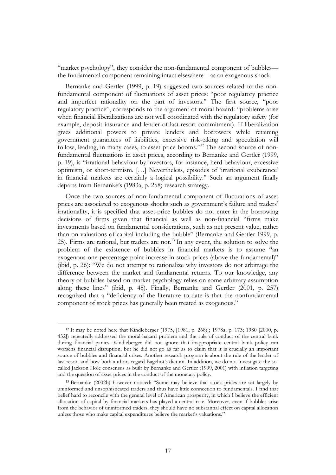"market psychology", they consider the non-fundamental component of bubbles the fundamental component remaining intact elsewhere—as an exogenous shock.

Bernanke and Gertler (1999, p. 19) suggested two sources related to the nonfundamental component of fluctuations of asset prices: "poor regulatory practice and imperfect rationality on the part of investors." The first source, "poor regulatory practice", corresponds to the argument of moral hazard: "problems arise when financial liberalizations are not well coordinated with the regulatory safety (for example, deposit insurance and lender-of-last-resort commitment). If liberalization gives additional powers to private lenders and borrowers while retaining government guarantees of liabilities, excessive risk-taking and speculation will follow, leading, in many cases, to asset price booms."<sup>12</sup> The second source of nonfundamental fluctuations in asset prices, according to Bernanke and Gertler (1999, p. 19), is "irrational behaviour by investors, for instance, herd behaviour, excessive optimism, or short-termism. […] Nevertheless, episodes of 'irrational exuberance' in financial markets are certainly a logical possibility." Such an argument finally departs from Bernanke's (1983a, p. 258) research strategy.

Once the two sources of non-fundamental component of fluctuations of asset prices are associated to exogenous shocks such as government's failure and traders' irrationality, it is specified that asset-price bubbles do not enter in the borrowing decisions of firms given that financial as well as non-financial "firms make investments based on fundamental considerations, such as net present value, rather than on valuations of capital including the bubble" (Bernanke and Gertler 1999, p. 25). Firms are rational, but traders are not.<sup>13</sup> In any event, the solution to solve the problem of the existence of bubbles in financial markets is to assume "an exogenous one percentage point increase in stock prices (above the fundamental)" (ibid, p. 26): "We do not attempt to rationalize why investors do not arbitrage the difference between the market and fundamental returns. To our knowledge, any theory of bubbles based on market psychology relies on some arbitrary assumption along these lines" (ibid, p. 48). Finally, Bernanke and Gertler (2001, p. 257) recognized that a "deficiency of the literature to date is that the nonfundamental component of stock prices has generally been treated as exogenous."

<sup>12</sup> It may be noted here that Kindleberger (1975, [1981, p. 268)]; 1978a, p. 173; 1980 [2000, p. 432]) repeatedly addressed the moral-hazard problem and the rule of conduct of the central bank during financial panics. Kindleberger did not ignore that inappropriate central bank policy can worsens financial disruption, but he did not go as far as to claim that it is crucially an important source of bubbles and financial crises. Another research program is about the rule of the lender of last resort and how both authors regard Bagehot's dictum. In addition, we do not investigate the socalled Jackson Hole consensus as built by Bernanke and Gertler (1999, 2001) with inflation targeting and the question of asset prices in the conduct of the monetary policy.

<sup>13</sup> Bernanke (2002b) however noticed: "Some may believe that stock prices are set largely by uninformed and unsophisticated traders and thus have little connection to fundamentals. I find that belief hard to reconcile with the general level of American prosperity, in which I believe the efficient allocation of capital by financial markets has played a central role. Moreover, even if bubbles arise from the behavior of uninformed traders, they should have no substantial effect on capital allocation unless those who make capital expenditures believe the market's valuations."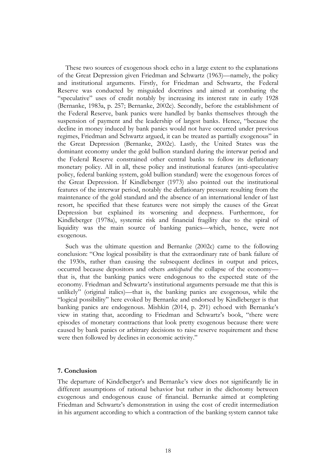These two sources of exogenous shock echo in a large extent to the explanations of the Great Depression given Friedman and Schwartz (1963)—namely, the policy and institutional arguments. Firstly, for Friedman and Schwartz, the Federal Reserve was conducted by misguided doctrines and aimed at combating the "speculative" uses of credit notably by increasing its interest rate in early 1928 (Bernanke, 1983a, p. 257; Bernanke, 2002c). Secondly, before the establishment of the Federal Reserve, bank panics were handled by banks themselves through the suspension of payment and the leadership of largest banks. Hence, "because the decline in money induced by bank panics would not have occurred under previous regimes, Friedman and Schwartz argued, it can be treated as partially exogenous" in the Great Depression (Bernanke, 2002c). Lastly, the United States was the dominant economy under the gold bullion standard during the interwar period and the Federal Reserve constrained other central banks to follow its deflationary monetary policy. All in all, these policy and institutional features (anti-speculative policy, federal banking system, gold bullion standard) were the exogenous forces of the Great Depression. If Kindleberger (1973) also pointed out the institutional features of the interwar period, notably the deflationary pressure resulting from the maintenance of the gold standard and the absence of an international lender of last resort, he specified that these features were not simply the causes of the Great Depression but explained its worsening and deepness. Furthermore, for Kindleberger (1978a), systemic risk and financial fragility due to the spiral of liquidity was the main source of banking panics—which, hence, were not exogenous.

Such was the ultimate question and Bernanke (2002c) came to the following conclusion: "One logical possibility is that the extraordinary rate of bank failure of the 1930s, rather than causing the subsequent declines in output and prices, occurred because depositors and others *anticipated* the collapse of the economy that is, that the banking panics were endogenous to the expected state of the economy. Friedman and Schwartz's institutional arguments persuade me that this is unlikely" (original italics)—that is, the banking panics are exogenous, while the "logical possibility" here evoked by Bernanke and endorsed by Kindleberger is that banking panics are endogenous. Mishkin (2014, p. 291) echoed with Bernanke's view in stating that, according to Friedman and Schwartz's book, "there were episodes of monetary contractions that look pretty exogenous because there were caused by bank panics or arbitrary decisions to raise reserve requirement and these were then followed by declines in economic activity."

# **7. Conclusion**

The departure of Kindelberger's and Bernanke's view does not significantly lie in different assumptions of rational behavior but rather in the dichotomy between exogenous and endogenous cause of financial. Bernanke aimed at completing Friedman and Schwartz's demonstration in using the cost of credit intermediation in his argument according to which a contraction of the banking system cannot take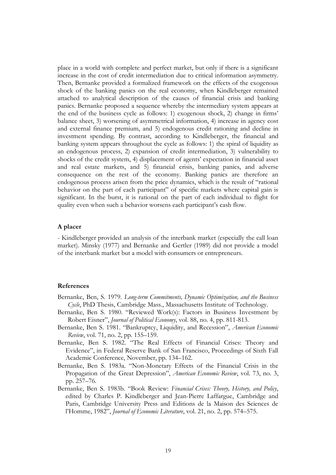place in a world with complete and perfect market, but only if there is a significant increase in the cost of credit intermediation due to critical information asymmetry. Then, Bernanke provided a formalized framework on the effects of the exogenous shock of the banking panics on the real economy, when Kindleberger remained attached to analytical description of the causes of financial crisis and banking panics. Bernanke proposed a sequence whereby the intermediary system appears at the end of the business cycle as follows: 1) exogenous shock, 2) change in firms' balance sheet, 3) worsening of asymmetrical information, 4) increase in agency cost and external finance premium, and 5) endogenous credit rationing and decline in investment spending. By contrast, according to Kindleberger, the financial and banking system appears throughout the cycle as follows: 1) the spiral of liquidity as an endogenous process, 2) expansion of credit intermediation, 3) vulnerability to shocks of the credit system, 4) displacement of agents' expectation in financial asset and real estate markets, and 5) financial crisis, banking panics, and adverse consequence on the rest of the economy. Banking panics are therefore an endogenous process arisen from the price dynamics, which is the result of "rational behavior on the part of each participant" of specific markets where capital gain is significant. In the burst, it is rational on the part of each individual to flight for quality even when such a behavior worsens each participant's cash flow.

### **A placer**

- Kindleberger provided an analysis of the interbank market (especially the call loan market). Minsky (1977) and Bernanke and Gertler (1989) did not provide a model of the interbank market but a model with consumers or entrepreneurs.

#### **References**

- Bernanke, Ben, S. 1979. *Long-term Commitments, Dynamic Optimization, and the Business Cycle*, PhD Thesis, Cambridge Mass., Massachusetts Institute of Technology.
- Bernanke, Ben S. 1980. "Reviewed Work(s): Factors in Business Investment by Robert Eisner", *Journal of Political Economy*, vol. 88, no. 4, pp. 811-813.
- Bernanke, Ben S. 1981. "Bankruptcy, Liquidity, and Recession", *American Economic Review*, vol. 71, no. 2, pp. 155–159.
- Bernanke, Ben S. 1982. "The Real Effects of Financial Crises: Theory and Evidence", in Federal Reserve Bank of San Francisco, Proceedings of Sixth Fall Academic Conference, November, pp. 134–162.
- Bernanke, Ben S. 1983a. "Non-Monetary Effects of the Financial Crisis in the Propagation of the Great Depression", *American Economic Review*, vol. 73, no. 3, pp. 257–76.
- Bernanke, Ben S. 1983b. "Book Review: *Financial Crises: Theory, History, and Policy*, edited by Charles P. Kindleberger and Jean-Pierre Laffargue, Cambridge and Paris, Cambridge University Press and Editions de la Maison des Sciences de l'Homme, 1982", *Journal of Economic Literature*, vol. 21, no. 2, pp. 574–575.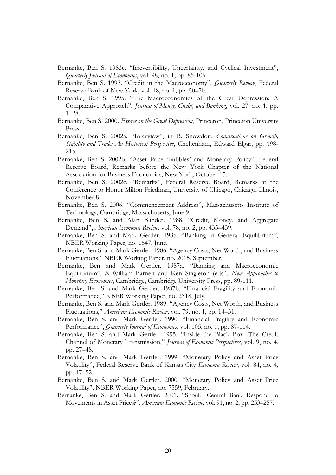- Bernanke, Ben S. 1983c. "Irreversibility, Uncertainty, and Cyclical Investment", *Quarterly Journal of Economics*, vol. 98, no. 1, pp. 85-106.
- Bernanke, Ben S. 1993. "Credit in the Macroeconomy", *Quarterly Review*, Federal Reserve Bank of New York, vol. 18, no. 1, pp. 50–70.
- Bernanke, Ben S. 1995. "The Macroeconomics of the Great Depression: A Comparative Approach", *Journal of Money, Credit, and Banking*, vol. 27, no. 1, pp. 1–28.
- Bernanke, Ben S. 2000. *Essays on the Great Depression*, Princeton, Princeton University Press.
- Bernanke, Ben S. 2002a. "Interview", in B. Snowdon, *Conversations on Growth, Stability and Trade: An Historical Perspective*, Cheltenham, Edward Elgar, pp. 198- 215.
- Bernanke, Ben S. 2002b. "Asset Price 'Bubbles' and Monetary Policy", Federal Reserve Board, Remarks before the New York Chapter of the National Association for Business Economics, New York, October 15.
- Bernanke, Ben S. 2002c. "Remarks", Federal Reserve Board, Remarks at the Conference to Honor Milton Friedman, University of Chicago, Chicago, Illinois, November 8.
- Bernanke, Ben S. 2006. "Commencement Address", Massachusetts Institute of Technology, Cambridge, Massachusetts, June 9.
- Bernanke, Ben S. and Alan Blinder. 1988. "Credit, Money, and Aggregate Demand", *American Economic Review,* vol. 78, no. 2, pp. 435–439.
- Bernanke, Ben S. and Mark Gertler. 1985. "Banking in General Equilibrium", NBER Working Paper*,* no. 1647, June.
- Bernanke, Ben S. and Mark Gertler. 1986. "Agency Costs, Net Worth, and Business Fluctuations," NBER Working Paper, no. 2015, September.
- Bernanke, Ben and Mark Gertler. 1987a. "Banking and Macroeconomic Equilibrium", *in* William Barnett and Ken Singleton (eds.), *New Approaches to Monetary Economics*, Cambridge, Cambridge University Press, pp. 89-111.
- Bernanke, Ben S. and Mark Gertler. 1987b. "Financial Fragility and Economic Performance," NBER Working Paper, no. 2318, July.
- Bernanke, Ben S. and Mark Gertler. 1989. "Agency Costs, Net Worth, and Business Fluctuations," *American Economic Review*, vol. 79, no. 1, pp. 14–31.
- Bernanke, Ben S. and Mark Gertler. 1990. "Financial Fragility and Economic Performance", *Quarterly Journal of Economics*, vol. 105, no. 1, pp. 87-114.
- Bernanke, Ben S. and Mark Gertler. 1995. "Inside the Black Box: The Credit Channel of Monetary Transmission," *Journal of Economic Perspectives*, vol. 9, no. 4, pp. 27–48.
- Bernanke, Ben S. and Mark Gertler. 1999. "Monetary Policy and Asset Price Volatility", Federal Reserve Bank of Kansas City *Economic Review*, vol. 84, no. 4, pp. 17–52.
- Bernanke, Ben S. and Mark Gertler. 2000. "Monetary Policy and Asset Price Volatility", NBER Working Paper, no. 7559, February.
- Bernanke, Ben S. and Mark Gertler. 2001. "Should Central Bank Respond to Movements in Asset Prices?", *American Economic Review*, vol. 91, no. 2, pp. 253–257.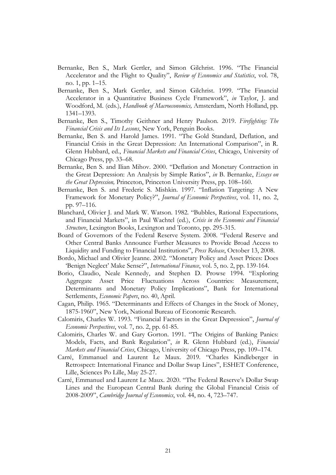- Bernanke, Ben S., Mark Gertler, and Simon Gilchrist. 1996. "The Financial Accelerator and the Flight to Quality", *Review of Economics and Statistics*, vol. 78, no. 1, pp. 1–15.
- Bernanke, Ben S., Mark Gertler, and Simon Gilchrist. 1999. "The Financial Accelerator in a Quantitative Business Cycle Framework", *in* Taylor, J. and Woodford, M. (eds.), *Handbook of Macroeconomics,* Amsterdam, North Holland, pp. 1341–1393.
- Bernanke, Ben S., Timothy Geithner and Henry Paulson. 2019. *Firefighting: The Financial Crisis and Its Lessons*, New York, Penguin Books.
- Bernanke, Ben S. and Harold James. 1991. "The Gold Standard, Deflation, and Financial Crisis in the Great Depression: An International Comparison", in R. Glenn Hubbard, ed., *Financial Markets and Financial Crises*, Chicago, University of Chicago Press, pp. 33–68.
- Bernanke, Ben S. and Ilian Mihov. 2000. "Deflation and Monetary Contraction in the Great Depression: An Analysis by Simple Ratios", *in* B. Bernanke, *Essays on the Great Depression,* Princeton, Princeton University Press, pp. 108–160.
- Bernanke, Ben S. and Frederic S. Mishkin. 1997. "Inflation Targeting: A New Framework for Monetary Policy?", *Journal of Economic Perspectives*, vol. 11, no. 2, pp. 97–116.
- Blanchard, Olivier J. and Mark W. Watson. 1982. "Bubbles, Rational Expectations, and Financial Markets", in Paul Wachtel (ed.), *Crisis in the Economic and Financial Structure*, Lexington Books, Lexington and Toronto, pp. 295-315.
- Board of Governors of the Federal Reserve System. 2008. "Federal Reserve and Other Central Banks Announce Further Measures to Provide Broad Access to Liquidity and Funding to Financial Institutions", *Press Release*, October 13, 2008.
- Bordo, Michael and Olivier Jeanne. 2002. "Monetary Policy and Asset Prices: Does 'Benign Neglect' Make Sense?", *International Finance*, vol. 5, no. 2, pp. 139-164.
- Borio, Claudio, Neale Kennedy, and Stephen D. Prowse 1994. "Exploring Aggregate Asset Price Fluctuations Across Countries: Measurement, Determinants and Monetary Policy Implications", Bank for International Settlements, *Economic Papers*, no. 40, April.
- Cagan, Philip. 1965. "Determinants and Effects of Changes in the Stock of Money, 1875-1960", New York, National Bureau of Economic Research.
- Calomiris, Charles W. 1993. "Financial Factors in the Great Depression", *Journal of Economic Perspectives*, vol. 7, no. 2, pp. 61-85.
- Calomiris, Charles W. and Gary Gorton. 1991. "The Origins of Banking Panics: Models, Facts, and Bank Regulation", *in* R. Glenn Hubbard (ed.), *Financial Markets and Financial Crises*, Chicago, University of Chicago Press, pp. 109–174.
- Carré, Emmanuel and Laurent Le Maux. 2019. "Charles Kindleberger in Retrospect: International Finance and Dollar Swap Lines", ESHET Conference, Lille, Sciences Po Lille, May 25-27.
- Carré, Emmanuel and Laurent Le Maux. 2020. "The Federal Reserve's Dollar Swap Lines and the European Central Bank during the Global Financial Crisis of 2008-2009", *Cambridge Journal of Economics*, vol. 44, no. 4, 723–747.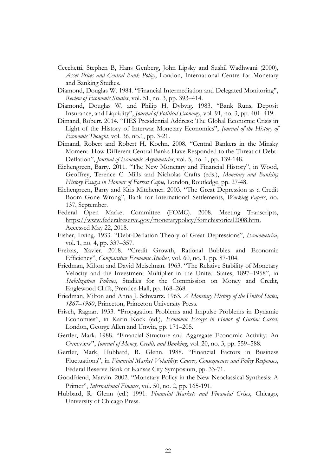- Cecchetti, Stephen B, Hans Genberg, John Lipsky and Sushil Wadhwani (2000), *Asset Prices and Central Bank Policy*, London, International Centre for Monetary and Banking Studies.
- Diamond, Douglas W. 1984. "Financial Intermediation and Delegated Monitoring", *Review of Economic Studies*, vol. 51, no. 3, pp. 393–414.
- Diamond, Douglas W. and Philip H. Dybvig. 1983. "Bank Runs, Deposit Insurance, and Liquidity", *Journal of Political Economy*, vol. 91, no. 3, pp. 401–419.
- Dimand, Robert. 2014. "HES Presidential Address: The Global Economic Crisis in Light of the History of Interwar Monetary Economics", *Journal of the History of Economic Thought*, vol. 36, no.1, pp. 3-21.
- Dimand, Robert and Robert H. Koehn. 2008. "Central Bankers in the Minsky Moment: How Different Central Banks Have Responded to the Threat of Debt-Deflation", *Journal of Economic Asymmetries*, vol. 5, no. 1, pp. 139-148.
- Eichengreen, Barry. 2011. "The New Monetary and Financial History", in Wood, Geoffrey, Terence C. Mills and Nicholas Crafts (eds.), *Monetary and Banking History Essays in Honour of Forrest Capie,* London, Routledge, pp. 27-48.
- Eichengreen, Barry and Kris Mitchener. 2003. "The Great Depression as a Credit Boom Gone Wrong", Bank for International Settlements, *Working Papers*, no. 137, September.
- Federal Open Market Committee (FOMC). 2008. Meeting Transcripts, [https://www.federalreserve.gov/monetarypolicy/fomchistorical2008.htm.](https://www.federalreserve.gov/monetarypolicy/fomchistorical2008.htm) Accessed May 22, 2018.
- Fisher, Irving. 1933. "Debt-Deflation Theory of Great Depressions", *Econometrica*, vol. 1, no. 4, pp. 337–357.
- Freixas, Xavier. 2018. "Credit Growth, Rational Bubbles and Economic Efficiency", *Comparative Economic Studies*, vol. 60, no. 1, pp. 87-104.
- Friedman, Milton and David Meiselman. 1963. "The Relative Stability of Monetary Velocity and the Investment Multiplier in the United States, 1897–1958", in *Stabilization Policies*, Studies for the Commission on Money and Credit, Englewood Cliffs, Prentice-Hall, pp. 168–268.
- Friedman, Milton and Anna J. Schwartz. 1963. *A Monetary History of the United States, 1867–1960*, Princeton, Princeton University Press.
- Frisch, Ragnar. 1933. "Propagation Problems and Impulse Problems in Dynamic Economies", in Karin Kock (ed.), *Economic Essays in Honor of Gustav Cassel*, London, George Allen and Unwin, pp. 171–205.
- Gertler, Mark. 1988. "Financial Structure and Aggregate Economic Activity: An Overview", *Journal of Money, Credit, and Banking*, vol. 20, no. 3, pp. 559–588.
- Gertler, Mark, Hubbard, R. Glenn. 1988. "Financial Factors in Business Fluctuations", in *Financial Market Volatility: Causes, Consequences and Policy Responses*, Federal Reserve Bank of Kansas City Symposium, pp. 33-71.
- Goodfriend, Marvin. 2002. "Monetary Policy in the New Neoclassical Synthesis: A Primer", *International Finance*, vol. 50, no. 2, pp. 165-191.
- Hubbard, R. Glenn (ed.) 1991. *Financial Markets and Financial Crises*, Chicago, University of Chicago Press.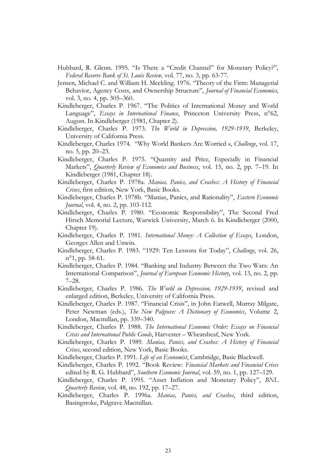- Hubbard, R. Glenn. 1995. "Is There a "Credit Channel" for Monetary Policy?", *Federal Reserve Bank of St. Louis Review,* vol. 77, no. 3, pp. 63-77.
- Jensen, Michael C. and William H. Meckling. 1976. "Theory of the Firm: Managerial Behavior, Agency Costs, and Ownership Structure", *Journal of Financial Economics*, vol. 3, no. 4, pp. 305–360.
- Kindleberger, Charles P. 1967. "The Politics of International Money and World Language", *Essays in International Finance*, Princeton University Press, n°62, August. In Kindleberger (1981, Chapter 2).
- Kindleberger, Charles P. 1973. *The World in Depression, 1929-1939*, Berkeley, University of California Press.
- Kindleberger, Charles 1974. "Why World Bankers Are Worried », *Challenge*, vol. 17, no. 5, pp. 20–23.
- Kindleberger, Charles P. 1975. "Quantity and Price, Especially in Financial Markets", *Quarterly Review of Economics and Business*, vol. 15, no. 2, pp. 7–19. In Kindleberger (1981, Chapter 18).
- Kindleberger, Charles P. 1978a. *Manias, Panics, and Crashes: A History of Financial Crises*, first edition, New York, Basic Books.
- Kindleberger, Charles P. 1978b. "Manias, Panics, and Rationality", *Eastern Economic Journal*, vol. 4, no. 2, pp. 103-112.
- Kindleberger, Charles P. 1980. "Economic Responsibility", The Second Fred Hirsch Memorial Lecture, Warwick University, March 6. In Kindleberger (2000, Chapter 19).
- Kindleberger, Charles P. 1981. *International Money: A Collection of Essays*, London, Georges Allen and Unwin.
- Kindleberger, Charles P. 1983. "1929: Ten Lessons for Today", *Challenge*, vol. 26, n°1, pp. 58-61.
- Kindleberger, Charles P. 1984. "Banking and Industry Between the Two Wars: An International Comparison", *Journal of European Economic History*, vol. 13, no. 2, pp. 7–28.
- Kindleberger, Charles P. 1986. *The World in Depression, 1929-1939*, revised and enlarged edition, Berkeley, University of California Press.
- Kindleberger, Charles P. 1987. "Financial Crisis", in John Eatwell, Murray Milgate, Peter Newman (eds.), *The New Palgrave: A Dictionary of Economics*, Volume 2, London, Macmillan, pp. 339–340.
- Kindleberger, Charles P. 1988. *The International Economic Order: Essays on Financial Crisis and International Public Goods*, Harvester – Wheatsheaf, New York.
- Kindleberger, Charles P. 1989. *Manias, Panics, and Crashes: A History of Financial Crises*, second edition, New York, Basic Books.
- Kindleberger, Charles P. 1991. *Life of an Economist*, Cambridge, Basic Blackwell.
- Kindleberger, Charles P. 1992. "Book Review: *Financial Markets and Financial Crises* edited by R. G. Hubbard", *Southern Economic Journal*, vol. 59, no. 1, pp. 127–129.
- Kindleberger, Charles P. 1995. "Asset Inflation and Monetary Policy", *BNL Quarterly Review*, vol. 48, no. 192, pp. 17–27.
- Kindleberger, Charles P. 1996a. *Manias, Panics, and Crashes*, third edition, Basingstoke, Palgrave Macmillan.